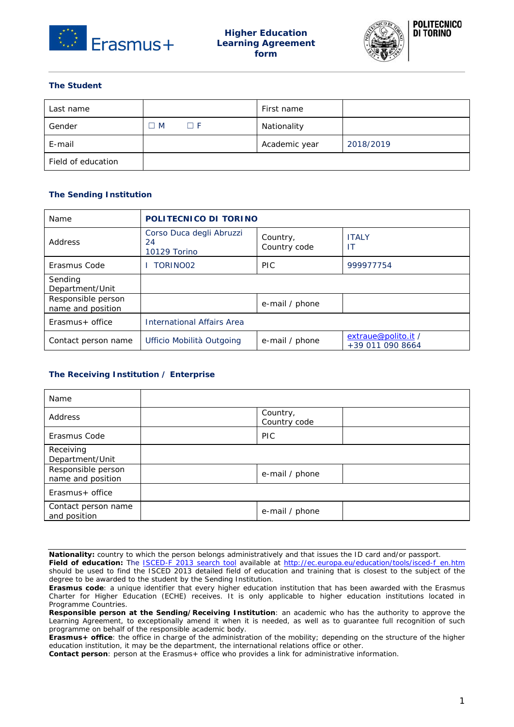



# **The Student**

| Last name          |     |             | First name    |           |
|--------------------|-----|-------------|---------------|-----------|
| Gender             | ∃ M | $\square$ F | Nationality   |           |
| E-mail             |     |             | Academic year | 2018/2019 |
| Field of education |     |             |               |           |

## **The Sending Institution**

| Name                                    | POLITECNICO DI TORINO                          |                          |                                         |  |
|-----------------------------------------|------------------------------------------------|--------------------------|-----------------------------------------|--|
| Address                                 | Corso Duca degli Abruzzi<br>24<br>10129 Torino | Country,<br>Country code | <b>ITALY</b><br>ΙT                      |  |
| Erasmus Code                            | TORINO02                                       | <b>PIC</b>               | 999977754                               |  |
| Sendina<br>Department/Unit              |                                                |                          |                                         |  |
| Responsible person<br>name and position |                                                | e-mail / phone           |                                         |  |
| $Erasmus + office$                      | <b>International Affairs Area</b>              |                          |                                         |  |
| Contact person name                     | Ufficio Mobilità Outgoing                      | e-mail / phone           | extraue@polito.it /<br>+39 011 090 8664 |  |

## **The Receiving Institution / Enterprise**

| Name                                    |                          |
|-----------------------------------------|--------------------------|
| Address                                 | Country,<br>Country code |
| Erasmus Code                            | <b>PIC</b>               |
| Receiving<br>Department/Unit            |                          |
| Responsible person<br>name and position | e-mail / phone           |
| Erasmus + office                        |                          |
| Contact person name<br>and position     | e-mail / phone           |

**Nationality:** country to which the person belongs administratively and that issues the ID card and/or passport.

**Field of education:** The [ISCED-F 2013 search tool](http://ec.europa.eu/education/tools/isced-f_en.htm) available at [http://ec.europa.eu/education/tools/isced-f\\_en.htm](http://ec.europa.eu/education/tools/isced-f_en.htm) should be used to find the ISCED 2013 detailed field of education and training that is closest to the subject of the degree to be awarded to the student by the Sending Institution.

**Erasmus code**: a unique identifier that every higher education institution that has been awarded with the Erasmus Charter for Higher Education (ECHE) receives. It is only applicable to higher education institutions located in Programme Countries.

**Responsible person at the Sending/Receiving Institution**: an academic who has the authority to approve the Learning Agreement, to exceptionally amend it when it is needed, as well as to guarantee full recognition of such programme on behalf of the responsible academic body.

**Erasmus+ office**: the office in charge of the administration of the mobility; depending on the structure of the higher education institution, it may be the department, the international relations office or other.

**Contact person**: person at the Erasmus+ office who provides a link for administrative information.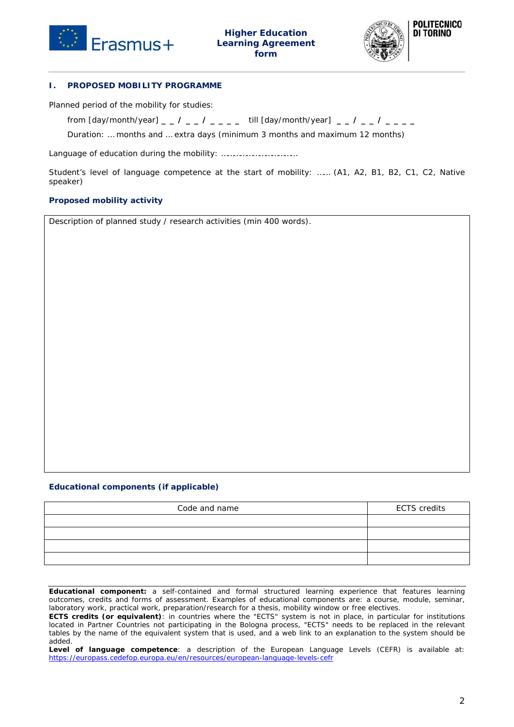



### **I. PROPOSED MOBILITY PROGRAMME**

Planned period of the mobility for studies:

from *[day/month/year] \_ \_ / \_ \_ / \_ \_ \_ \_* till *[day/month/year] \_ \_ / \_ \_ / \_ \_ \_ \_*

Duration: … months and … extra days *(minimum 3 months and maximum 12 months)*

Language of education during the mobility: ………………………………

Student's level of language competence at the start of mobility: …… (A1, A2, B1, B2, C1, C2, Native speaker)

### **Proposed mobility activity**

Description of planned study / research activities (min 400 words).

### **Educational components (if applicable)**

| Code and name | <b>ECTS</b> credits |
|---------------|---------------------|
|               |                     |
|               |                     |
|               |                     |
|               |                     |

**Educational component:** a self-contained and formal structured learning experience that features learning outcomes, credits and forms of assessment. Examples of educational components are: a course, module, seminar, laboratory work, practical work, preparation/research for a thesis, mobility window or free electives.

**ECTS credits (or equivalent)**: in countries where the "ECTS" system is not in place, in particular for institutions located in Partner Countries not participating in the Bologna process, "ECTS" needs to be replaced in the relevant tables by the name of the equivalent system that is used, and a web link to an explanation to the system should be added.

**Level of language competence**: a description of the European Language Levels (CEFR) is available at: <https://europass.cedefop.europa.eu/en/resources/european-language-levels-cefr>